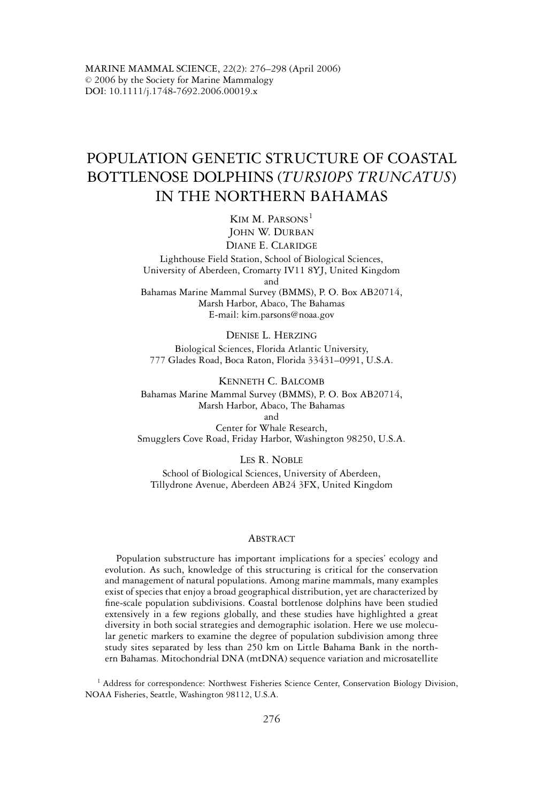# POPULATION GENETIC STRUCTURE OF COASTAL BOTTLENOSE DOLPHINS (*TURSIOPS TRUNCATUS*) IN THE NORTHERN BAHAMAS

KIM M. PARSONS<sup>1</sup> JOHN W. DURBAN DIANE E. CLARIDGE

Lighthouse Field Station, School of Biological Sciences, University of Aberdeen, Cromarty IV11 8YJ, United Kingdom and

Bahamas Marine Mammal Survey (BMMS), P. O. Box AB20714, Marsh Harbor, Abaco, The Bahamas E-mail: kim.parsons@noaa.gov

# DENISE L. HERZING

Biological Sciences, Florida Atlantic University, 777 Glades Road, Boca Raton, Florida 33431–0991, U.S.A.

# KENNETH C. BALCOMB

Bahamas Marine Mammal Survey (BMMS), P. O. Box AB20714, Marsh Harbor, Abaco, The Bahamas

and

Center for Whale Research, Smugglers Cove Road, Friday Harbor, Washington 98250, U.S.A.

#### LES R. NOBLE

School of Biological Sciences, University of Aberdeen, Tillydrone Avenue, Aberdeen AB24 3FX, United Kingdom

# ABSTRACT

Population substructure has important implications for a species' ecology and evolution. As such, knowledge of this structuring is critical for the conservation and management of natural populations. Among marine mammals, many examples exist of species that enjoy a broad geographical distribution, yet are characterized by fine-scale population subdivisions. Coastal bottlenose dolphins have been studied extensively in a few regions globally, and these studies have highlighted a great diversity in both social strategies and demographic isolation. Here we use molecular genetic markers to examine the degree of population subdivision among three study sites separated by less than 250 km on Little Bahama Bank in the northern Bahamas. Mitochondrial DNA (mtDNA) sequence variation and microsatellite

<sup>1</sup> Address for correspondence: Northwest Fisheries Science Center, Conservation Biology Division, NOAA Fisheries, Seattle, Washington 98112, U.S.A.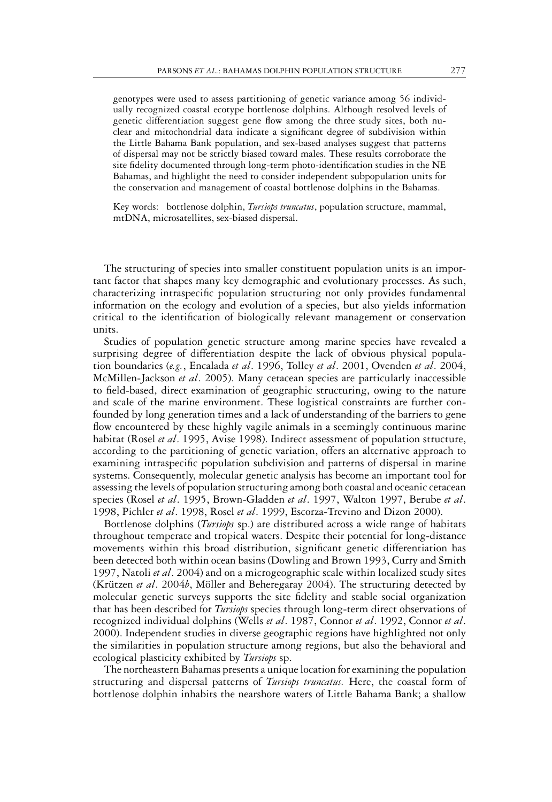genotypes were used to assess partitioning of genetic variance among 56 individually recognized coastal ecotype bottlenose dolphins. Although resolved levels of genetic differentiation suggest gene flow among the three study sites, both nuclear and mitochondrial data indicate a significant degree of subdivision within the Little Bahama Bank population, and sex-based analyses suggest that patterns of dispersal may not be strictly biased toward males. These results corroborate the site fidelity documented through long-term photo-identification studies in the NE Bahamas, and highlight the need to consider independent subpopulation units for the conservation and management of coastal bottlenose dolphins in the Bahamas.

Key words: bottlenose dolphin, *Tursiops truncatus*, population structure, mammal, mtDNA, microsatellites, sex-biased dispersal.

The structuring of species into smaller constituent population units is an important factor that shapes many key demographic and evolutionary processes. As such, characterizing intraspecific population structuring not only provides fundamental information on the ecology and evolution of a species, but also yields information critical to the identification of biologically relevant management or conservation units.

Studies of population genetic structure among marine species have revealed a surprising degree of differentiation despite the lack of obvious physical population boundaries (*e.g.*, Encalada *et al*. 1996, Tolley *et al*. 2001, Ovenden *et al*. 2004, McMillen-Jackson *et al*. 2005). Many cetacean species are particularly inaccessible to field-based, direct examination of geographic structuring, owing to the nature and scale of the marine environment. These logistical constraints are further confounded by long generation times and a lack of understanding of the barriers to gene flow encountered by these highly vagile animals in a seemingly continuous marine habitat (Rosel *et al*. 1995, Avise 1998). Indirect assessment of population structure, according to the partitioning of genetic variation, offers an alternative approach to examining intraspecific population subdivision and patterns of dispersal in marine systems. Consequently, molecular genetic analysis has become an important tool for assessing the levels of population structuring among both coastal and oceanic cetacean species (Rosel *et al*. 1995, Brown-Gladden *et al*. 1997, Walton 1997, Berube *et al*. 1998, Pichler *et al*. 1998, Rosel *et al*. 1999, Escorza-Trevino and Dizon 2000).

Bottlenose dolphins (*Tursiops* sp.) are distributed across a wide range of habitats throughout temperate and tropical waters. Despite their potential for long-distance movements within this broad distribution, significant genetic differentiation has been detected both within ocean basins (Dowling and Brown 1993, Curry and Smith 1997, Natoli *et al*. 2004) and on a microgeographic scale within localized study sites (Krützen *et al.* 2004*b*, Möller and Beheregaray 2004). The structuring detected by molecular genetic surveys supports the site fidelity and stable social organization that has been described for *Tursiops* species through long-term direct observations of recognized individual dolphins (Wells *et al*. 1987, Connor *et al*. 1992, Connor *et al*. 2000). Independent studies in diverse geographic regions have highlighted not only the similarities in population structure among regions, but also the behavioral and ecological plasticity exhibited by *Tursiops* sp.

The northeastern Bahamas presents a unique location for examining the population structuring and dispersal patterns of *Tursiops truncatus.* Here, the coastal form of bottlenose dolphin inhabits the nearshore waters of Little Bahama Bank; a shallow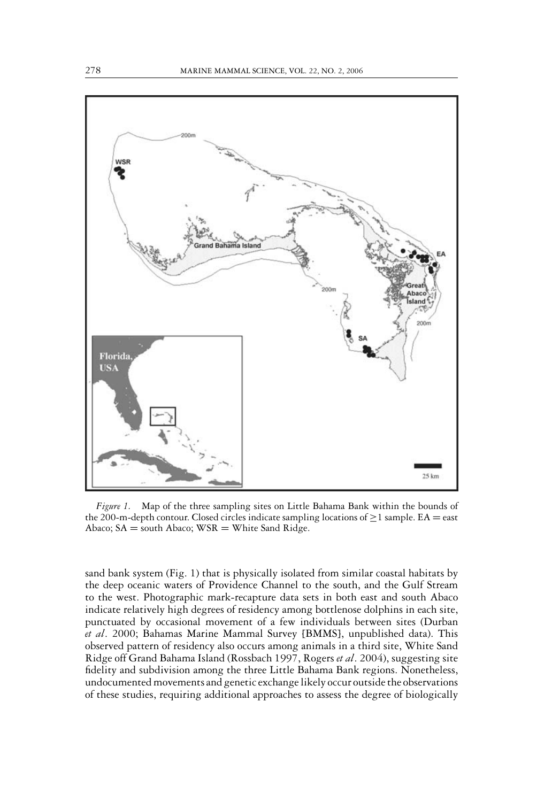

*Figure 1.* Map of the three sampling sites on Little Bahama Bank within the bounds of the 200-m-depth contour. Closed circles indicate sampling locations of  $\geq$  1 sample. EA = east Abaco;  $SA =$  south Abaco;  $WSR =$  White Sand Ridge.

sand bank system (Fig. 1) that is physically isolated from similar coastal habitats by the deep oceanic waters of Providence Channel to the south, and the Gulf Stream to the west. Photographic mark-recapture data sets in both east and south Abaco indicate relatively high degrees of residency among bottlenose dolphins in each site, punctuated by occasional movement of a few individuals between sites (Durban *et al*. 2000; Bahamas Marine Mammal Survey [BMMS], unpublished data). This observed pattern of residency also occurs among animals in a third site, White Sand Ridge off Grand Bahama Island (Rossbach 1997, Rogers *et al*. 2004), suggesting site fidelity and subdivision among the three Little Bahama Bank regions. Nonetheless, undocumented movements and genetic exchange likely occur outside the observations of these studies, requiring additional approaches to assess the degree of biologically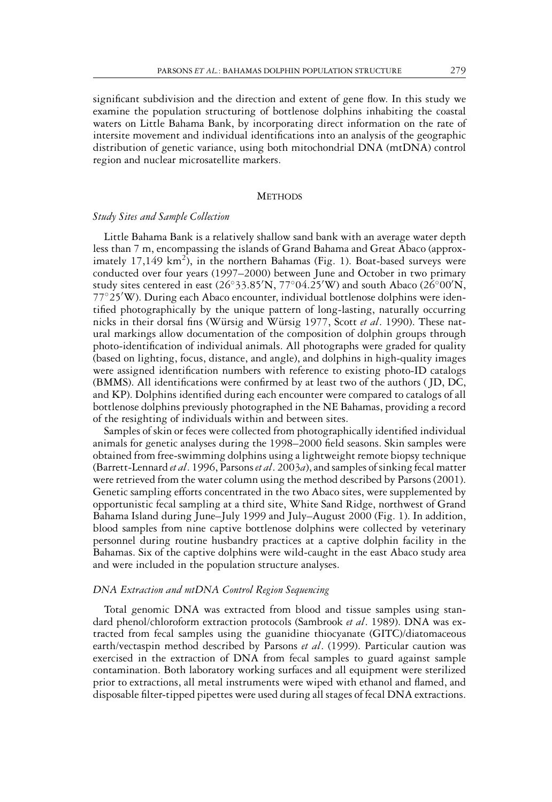significant subdivision and the direction and extent of gene flow. In this study we examine the population structuring of bottlenose dolphins inhabiting the coastal waters on Little Bahama Bank, by incorporating direct information on the rate of intersite movement and individual identifications into an analysis of the geographic distribution of genetic variance, using both mitochondrial DNA (mtDNA) control region and nuclear microsatellite markers.

# **METHODS**

#### *Study Sites and Sample Collection*

Little Bahama Bank is a relatively shallow sand bank with an average water depth less than 7 m, encompassing the islands of Grand Bahama and Great Abaco (approximately  $17,149 \text{ km}^2$ ), in the northern Bahamas (Fig. 1). Boat-based surveys were conducted over four years (1997–2000) between June and October in two primary study sites centered in east (26°33.85′N, 77°04.25′W) and south Abaco (26°00′N, 77◦25 W). During each Abaco encounter, individual bottlenose dolphins were identified photographically by the unique pattern of long-lasting, naturally occurring nicks in their dorsal fins (Würsig and Würsig 1977, Scott et al. 1990). These natural markings allow documentation of the composition of dolphin groups through photo-identification of individual animals. All photographs were graded for quality (based on lighting, focus, distance, and angle), and dolphins in high-quality images were assigned identification numbers with reference to existing photo-ID catalogs (BMMS). All identifications were confirmed by at least two of the authors ( JD, DC, and KP). Dolphins identified during each encounter were compared to catalogs of all bottlenose dolphins previously photographed in the NE Bahamas, providing a record of the resighting of individuals within and between sites.

Samples of skin or feces were collected from photographically identified individual animals for genetic analyses during the 1998–2000 field seasons. Skin samples were obtained from free-swimming dolphins using a lightweight remote biopsy technique (Barrett-Lennard *et al*. 1996, Parsons*et al*. 2003*a*), and samples of sinking fecal matter were retrieved from the water column using the method described by Parsons (2001). Genetic sampling efforts concentrated in the two Abaco sites, were supplemented by opportunistic fecal sampling at a third site, White Sand Ridge, northwest of Grand Bahama Island during June–July 1999 and July–August 2000 (Fig. 1). In addition, blood samples from nine captive bottlenose dolphins were collected by veterinary personnel during routine husbandry practices at a captive dolphin facility in the Bahamas. Six of the captive dolphins were wild-caught in the east Abaco study area and were included in the population structure analyses.

#### *DNA Extraction and mtDNA Control Region Sequencing*

Total genomic DNA was extracted from blood and tissue samples using standard phenol/chloroform extraction protocols (Sambrook *et al*. 1989). DNA was extracted from fecal samples using the guanidine thiocyanate (GITC)/diatomaceous earth/vectaspin method described by Parsons *et al*. (1999). Particular caution was exercised in the extraction of DNA from fecal samples to guard against sample contamination. Both laboratory working surfaces and all equipment were sterilized prior to extractions, all metal instruments were wiped with ethanol and flamed, and disposable filter-tipped pipettes were used during all stages of fecal DNA extractions.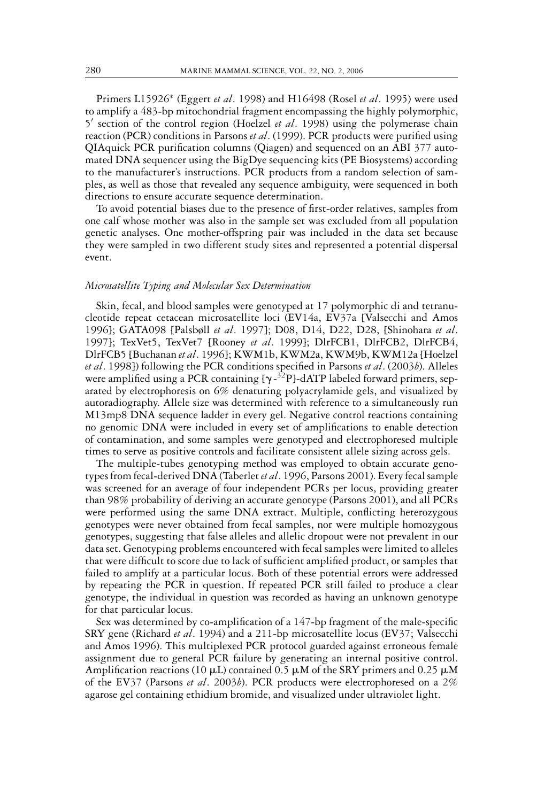Primers L15926<sup>∗</sup> (Eggert *et al*. 1998) and H16498 (Rosel *et al*. 1995) were used to amplify a 483-bp mitochondrial fragment encompassing the highly polymorphic, 5' section of the control region (Hoelzel *et al.* 1998) using the polymerase chain reaction (PCR) conditions in Parsons *et al*. (1999). PCR products were purified using QIAquick PCR purification columns (Qiagen) and sequenced on an ABI 377 automated DNA sequencer using the BigDye sequencing kits (PE Biosystems) according to the manufacturer's instructions. PCR products from a random selection of samples, as well as those that revealed any sequence ambiguity, were sequenced in both directions to ensure accurate sequence determination.

To avoid potential biases due to the presence of first-order relatives, samples from one calf whose mother was also in the sample set was excluded from all population genetic analyses. One mother-offspring pair was included in the data set because they were sampled in two different study sites and represented a potential dispersal event.

# *Microsatellite Typing and Molecular Sex Determination*

Skin, fecal, and blood samples were genotyped at 17 polymorphic di and tetranucleotide repeat cetacean microsatellite loci (EV14a, EV37a [Valsecchi and Amos 1996]; GATA098 [Palsbøll *et al*. 1997]; D08, D14, D22, D28, [Shinohara *et al*. 1997]; TexVet5, TexVet7 [Rooney *et al*. 1999]; DlrFCB1, DlrFCB2, DlrFCB4, DlrFCB5 [Buchanan *et al*. 1996]; KWM1b, KWM2a, KWM9b, KWM12a [Hoelzel *et al*. 1998]) following the PCR conditions specified in Parsons *et al*. (2003*b*). Alleles were amplified using a PCR containing  $[\gamma^{-32}P]$ -dATP labeled forward primers, separated by electrophoresis on 6% denaturing polyacrylamide gels, and visualized by autoradiography. Allele size was determined with reference to a simultaneously run M13mp8 DNA sequence ladder in every gel. Negative control reactions containing no genomic DNA were included in every set of amplifications to enable detection of contamination, and some samples were genotyped and electrophoresed multiple times to serve as positive controls and facilitate consistent allele sizing across gels.

The multiple-tubes genotyping method was employed to obtain accurate genotypes from fecal-derived DNA (Taberlet*et al*. 1996, Parsons 2001). Every fecal sample was screened for an average of four independent PCRs per locus, providing greater than 98% probability of deriving an accurate genotype (Parsons 2001), and all PCRs were performed using the same DNA extract. Multiple, conflicting heterozygous genotypes were never obtained from fecal samples, nor were multiple homozygous genotypes, suggesting that false alleles and allelic dropout were not prevalent in our data set. Genotyping problems encountered with fecal samples were limited to alleles that were difficult to score due to lack of sufficient amplified product, or samples that failed to amplify at a particular locus. Both of these potential errors were addressed by repeating the PCR in question. If repeated PCR still failed to produce a clear genotype, the individual in question was recorded as having an unknown genotype for that particular locus.

Sex was determined by co-amplification of a 147-bp fragment of the male-specific SRY gene (Richard *et al*. 1994) and a 211-bp microsatellite locus (EV37; Valsecchi and Amos 1996). This multiplexed PCR protocol guarded against erroneous female assignment due to general PCR failure by generating an internal positive control. Amplification reactions (10  $\mu$ L) contained 0.5  $\mu$ M of the SRY primers and 0.25  $\mu$ M of the EV37 (Parsons *et al*. 2003*b*). PCR products were electrophoresed on a 2% agarose gel containing ethidium bromide, and visualized under ultraviolet light.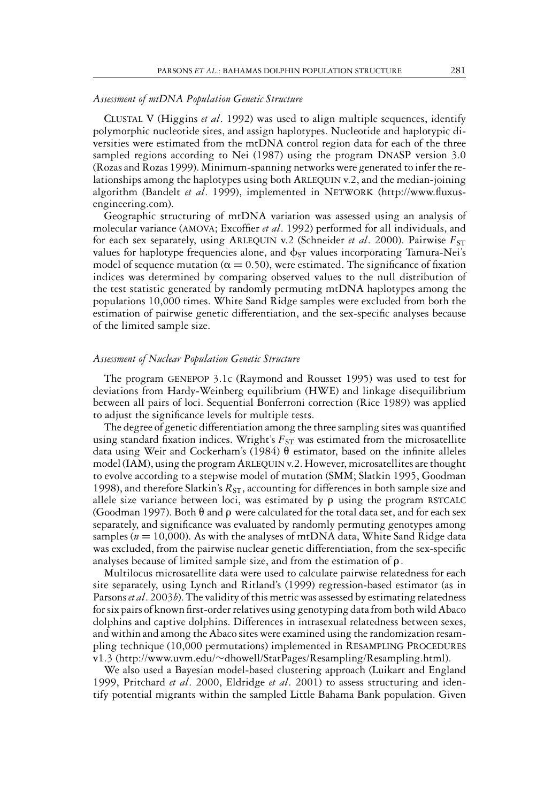# *Assessment of mtDNA Population Genetic Structure*

CLUSTAL V (Higgins *et al*. 1992) was used to align multiple sequences, identify polymorphic nucleotide sites, and assign haplotypes. Nucleotide and haplotypic diversities were estimated from the mtDNA control region data for each of the three sampled regions according to Nei (1987) using the program DNASP version 3.0 (Rozas and Rozas 1999). Minimum-spanning networks were generated to infer the relationships among the haplotypes using both ARLEQUIN v.2, and the median-joining algorithm (Bandelt *et al*. 1999), implemented in NETWORK (http://www.fluxusengineering.com).

Geographic structuring of mtDNA variation was assessed using an analysis of molecular variance (AMOVA; Excoffier *et al*. 1992) performed for all individuals, and for each sex separately, using ARLEQUIN v.2 (Schneider *et al.* 2000). Pairwise  $F_{ST}$ values for haplotype frequencies alone, and  $\phi_{ST}$  values incorporating Tamura-Nei's model of sequence mutation ( $\alpha = 0.50$ ), were estimated. The significance of fixation indices was determined by comparing observed values to the null distribution of the test statistic generated by randomly permuting mtDNA haplotypes among the populations 10,000 times. White Sand Ridge samples were excluded from both the estimation of pairwise genetic differentiation, and the sex-specific analyses because of the limited sample size.

#### *Assessment of Nuclear Population Genetic Structure*

The program GENEPOP 3.1c (Raymond and Rousset 1995) was used to test for deviations from Hardy-Weinberg equilibrium (HWE) and linkage disequilibrium between all pairs of loci. Sequential Bonferroni correction (Rice 1989) was applied to adjust the significance levels for multiple tests.

The degree of genetic differentiation among the three sampling sites was quantified using standard fixation indices. Wright's  $F_{ST}$  was estimated from the microsatellite data using Weir and Cockerham's (1984)  $\theta$  estimator, based on the infinite alleles model (IAM), using the program ARLEQUIN v.2. However, microsatellites are thought to evolve according to a stepwise model of mutation (SMM; Slatkin 1995, Goodman 1998), and therefore Slatkin's  $R_{ST}$ , accounting for differences in both sample size and allele size variance between loci, was estimated by  $\rho$  using the program RSTCALC (Goodman 1997). Both  $\theta$  and  $\rho$  were calculated for the total data set, and for each sex separately, and significance was evaluated by randomly permuting genotypes among samples ( $n = 10,000$ ). As with the analyses of mtDNA data, White Sand Ridge data was excluded, from the pairwise nuclear genetic differentiation, from the sex-specific analyses because of limited sample size, and from the estimation of  $\rho$ .

Multilocus microsatellite data were used to calculate pairwise relatedness for each site separately, using Lynch and Ritland's (1999) regression-based estimator (as in Parsons*et al*. 2003*b*). The validity of this metric was assessed by estimating relatedness for six pairs of known first-order relatives using genotyping data from both wild Abaco dolphins and captive dolphins. Differences in intrasexual relatedness between sexes, and within and among the Abaco sites were examined using the randomization resampling technique (10,000 permutations) implemented in RESAMPLING PROCEDURES v1.3 (http://www.uvm.edu/∼dhowell/StatPages/Resampling/Resampling.html).

We also used a Bayesian model-based clustering approach (Luikart and England 1999, Pritchard *et al*. 2000, Eldridge *et al*. 2001) to assess structuring and identify potential migrants within the sampled Little Bahama Bank population. Given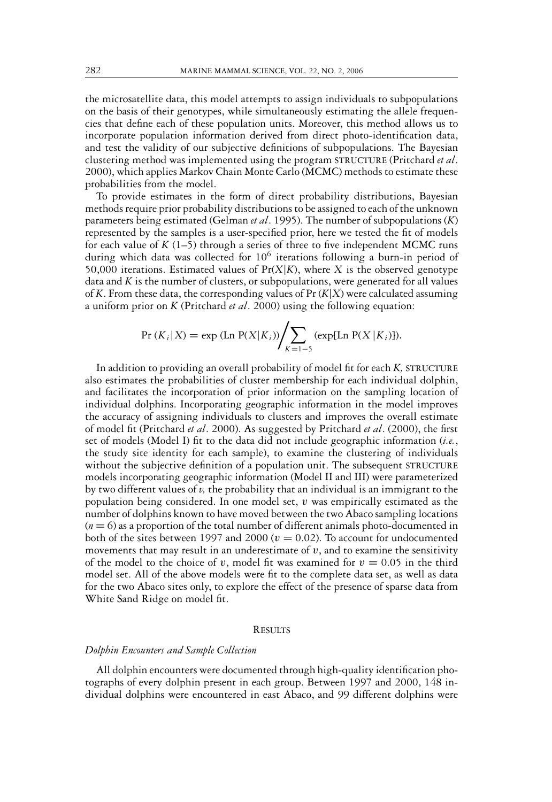the microsatellite data, this model attempts to assign individuals to subpopulations on the basis of their genotypes, while simultaneously estimating the allele frequencies that define each of these population units. Moreover, this method allows us to incorporate population information derived from direct photo-identification data, and test the validity of our subjective definitions of subpopulations. The Bayesian clustering method was implemented using the program STRUCTURE (Pritchard *et al*. 2000), which applies Markov Chain Monte Carlo (MCMC) methods to estimate these probabilities from the model.

To provide estimates in the form of direct probability distributions, Bayesian methods require prior probability distributions to be assigned to each of the unknown parameters being estimated (Gelman *et al*. 1995). The number of subpopulations (*K*) represented by the samples is a user-specified prior, here we tested the fit of models for each value of  $K(1-5)$  through a series of three to five independent MCMC runs during which data was collected for  $10^6$  iterations following a burn-in period of 50,000 iterations. Estimated values of Pr(*X*|*K*), where *X* is the observed genotype data and *K* is the number of clusters, or subpopulations, were generated for all values of *K*. From these data, the corresponding values of Pr (*K*|*X*) were calculated assuming a uniform prior on *K* (Pritchard *et al*. 2000) using the following equation:

$$
Pr(K_i|X) = \exp(Ln P(X|K_i)) / \sum_{K=1-5} (\exp[Ln P(X|K_i)]).
$$

In addition to providing an overall probability of model fit for each *K,* STRUCTURE also estimates the probabilities of cluster membership for each individual dolphin, and facilitates the incorporation of prior information on the sampling location of individual dolphins. Incorporating geographic information in the model improves the accuracy of assigning individuals to clusters and improves the overall estimate of model fit (Pritchard *et al*. 2000). As suggested by Pritchard *et al*. (2000), the first set of models (Model I) fit to the data did not include geographic information (*i.e.*, the study site identity for each sample), to examine the clustering of individuals without the subjective definition of a population unit. The subsequent STRUCTURE models incorporating geographic information (Model II and III) were parameterized by two different values of *v,* the probability that an individual is an immigrant to the population being considered. In one model set, v was empirically estimated as the number of dolphins known to have moved between the two Abaco sampling locations  $(n = 6)$  as a proportion of the total number of different animals photo-documented in both of the sites between 1997 and 2000 ( $v = 0.02$ ). To account for undocumented movements that may result in an underestimate of  $v$ , and to examine the sensitivity of the model to the choice of v, model fit was examined for  $v = 0.05$  in the third model set. All of the above models were fit to the complete data set, as well as data for the two Abaco sites only, to explore the effect of the presence of sparse data from White Sand Ridge on model fit.

#### RESULTS

#### *Dolphin Encounters and Sample Collection*

All dolphin encounters were documented through high-quality identification photographs of every dolphin present in each group. Between 1997 and 2000, 148 individual dolphins were encountered in east Abaco, and 99 different dolphins were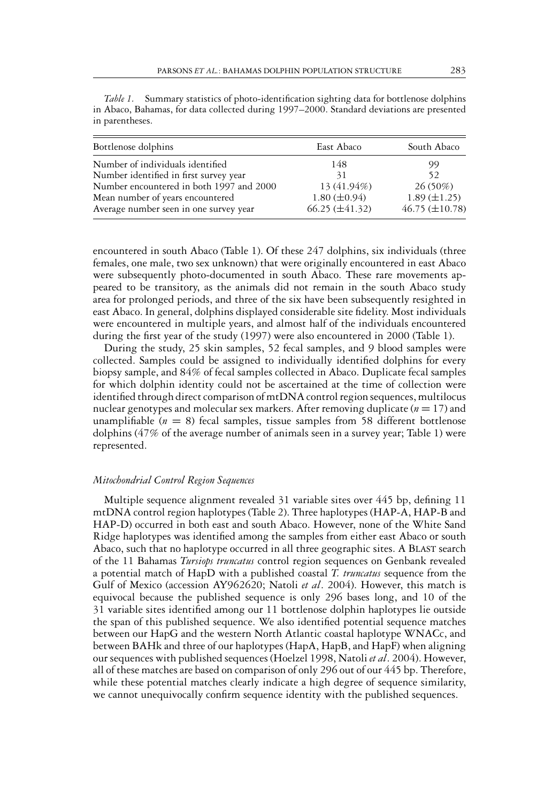|                 | <i>Table 1.</i> Summary statistics of photo-identification sighting data for bottlenose dolphins |  |  |
|-----------------|--------------------------------------------------------------------------------------------------|--|--|
|                 | in Abaco, Bahamas, for data collected during 1997–2000. Standard deviations are presented        |  |  |
| in parentheses. |                                                                                                  |  |  |

| Bottlenose dolphins                      | East Abaco          | South Abaco           |
|------------------------------------------|---------------------|-----------------------|
| Number of individuals identified         | 148                 | 99                    |
| Number identified in first survey year   | 31                  | 52                    |
| Number encountered in both 1997 and 2000 | 13 (41.94%)         | 26(50%)               |
| Mean number of years encountered         | $1.80 \ (\pm 0.94)$ | $1.89 \, (\pm 1.25)$  |
| Average number seen in one survey year   | $66.25 (\pm 41.32)$ | $46.75 \ (\pm 10.78)$ |

encountered in south Abaco (Table 1). Of these 247 dolphins, six individuals (three females, one male, two sex unknown) that were originally encountered in east Abaco were subsequently photo-documented in south Abaco. These rare movements appeared to be transitory, as the animals did not remain in the south Abaco study area for prolonged periods, and three of the six have been subsequently resighted in east Abaco. In general, dolphins displayed considerable site fidelity. Most individuals were encountered in multiple years, and almost half of the individuals encountered during the first year of the study (1997) were also encountered in 2000 (Table 1).

During the study, 25 skin samples, 52 fecal samples, and 9 blood samples were collected. Samples could be assigned to individually identified dolphins for every biopsy sample, and 84% of fecal samples collected in Abaco. Duplicate fecal samples for which dolphin identity could not be ascertained at the time of collection were identified through direct comparison of mtDNA control region sequences, multilocus nuclear genotypes and molecular sex markers. After removing duplicate  $(n = 17)$  and unamplifiable  $(n = 8)$  fecal samples, tissue samples from 58 different bottlenose dolphins (47% of the average number of animals seen in a survey year; Table 1) were represented.

#### *Mitochondrial Control Region Sequences*

Multiple sequence alignment revealed 31 variable sites over 445 bp, defining 11 mtDNA control region haplotypes (Table 2). Three haplotypes (HAP-A, HAP-B and HAP-D) occurred in both east and south Abaco. However, none of the White Sand Ridge haplotypes was identified among the samples from either east Abaco or south Abaco, such that no haplotype occurred in all three geographic sites. A BLAST search of the 11 Bahamas *Tursiops truncatus* control region sequences on Genbank revealed a potential match of HapD with a published coastal *T. truncatus* sequence from the Gulf of Mexico (accession AY962620; Natoli *et al*. 2004). However, this match is equivocal because the published sequence is only 296 bases long, and 10 of the 31 variable sites identified among our 11 bottlenose dolphin haplotypes lie outside the span of this published sequence. We also identified potential sequence matches between our HapG and the western North Atlantic coastal haplotype WNACc, and between BAHk and three of our haplotypes (HapA, HapB, and HapF) when aligning our sequences with published sequences (Hoelzel 1998, Natoli *et al*. 2004). However, all of these matches are based on comparison of only 296 out of our 445 bp. Therefore, while these potential matches clearly indicate a high degree of sequence similarity, we cannot unequivocally confirm sequence identity with the published sequences.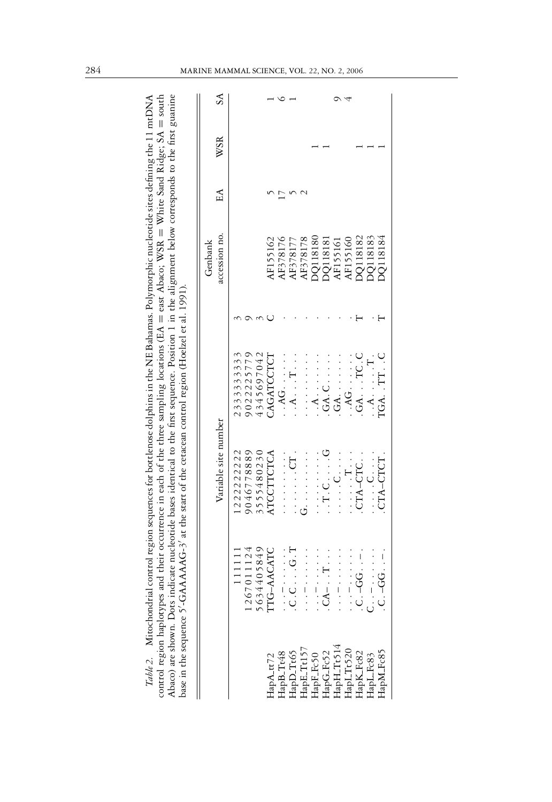| al control region sequences for bottlenose dolphins in the NE Bahamas. Polymorphic nucleotide sites defining the 11 mtDNA | and their occurrence in each of the three sampling locations (EA = east Abaco; WSR = White Sand Ridge; SA = south | ndicate nucleotide bases identical to the first sequence. Position 1 in the alignment below corresponds to the first guanine | AAAAAG-3' at the start of the cetacean control region (Hoelzel et al. 1991). |
|---------------------------------------------------------------------------------------------------------------------------|-------------------------------------------------------------------------------------------------------------------|------------------------------------------------------------------------------------------------------------------------------|------------------------------------------------------------------------------|
|                                                                                                                           |                                                                                                                   |                                                                                                                              |                                                                              |
|                                                                                                                           |                                                                                                                   |                                                                                                                              |                                                                              |
|                                                                                                                           |                                                                                                                   |                                                                                                                              |                                                                              |
|                                                                                                                           |                                                                                                                   |                                                                                                                              |                                                                              |
|                                                                                                                           |                                                                                                                   |                                                                                                                              |                                                                              |
|                                                                                                                           |                                                                                                                   |                                                                                                                              |                                                                              |
|                                                                                                                           |                                                                                                                   |                                                                                                                              |                                                                              |
|                                                                                                                           |                                                                                                                   |                                                                                                                              |                                                                              |
|                                                                                                                           |                                                                                                                   |                                                                                                                              |                                                                              |
|                                                                                                                           |                                                                                                                   |                                                                                                                              |                                                                              |
| $\frac{1}{2}$                                                                                                             |                                                                                                                   |                                                                                                                              |                                                                              |
|                                                                                                                           |                                                                                                                   |                                                                                                                              |                                                                              |
|                                                                                                                           | remon hank                                                                                                        | baco) are shown. De                                                                                                          | ase in the sequence 5'-C                                                     |
|                                                                                                                           |                                                                                                                   |                                                                                                                              |                                                                              |
|                                                                                                                           |                                                                                                                   |                                                                                                                              |                                                                              |

|                                                                                                                      |                                                                                                                                                                                                                                                                                                          |                                                                                                                               |                                                | Genbank         |    |     |                        |
|----------------------------------------------------------------------------------------------------------------------|----------------------------------------------------------------------------------------------------------------------------------------------------------------------------------------------------------------------------------------------------------------------------------------------------------|-------------------------------------------------------------------------------------------------------------------------------|------------------------------------------------|-----------------|----|-----|------------------------|
|                                                                                                                      |                                                                                                                                                                                                                                                                                                          | Variable site number                                                                                                          |                                                | accession no.   | EA | WSR | $\mathsf{S}\mathsf{A}$ |
|                                                                                                                      | 111111                                                                                                                                                                                                                                                                                                   | 1222222222                                                                                                                    | 2333333333                                     |                 |    |     |                        |
|                                                                                                                      |                                                                                                                                                                                                                                                                                                          | 9046778889                                                                                                                    | 9022225779                                     |                 |    |     |                        |
|                                                                                                                      |                                                                                                                                                                                                                                                                                                          | 3555480230                                                                                                                    | 4345697042                                     |                 |    |     |                        |
|                                                                                                                      |                                                                                                                                                                                                                                                                                                          | ATCCTTCTCA                                                                                                                    | CAGATCCTCT                                     | AF155162        |    |     |                        |
|                                                                                                                      |                                                                                                                                                                                                                                                                                                          | $\frac{1}{2}$ , $\frac{1}{2}$ , $\frac{1}{2}$ , $\frac{1}{2}$ , $\frac{1}{2}$ , $\frac{1}{2}$ , $\frac{1}{2}$ , $\frac{1}{2}$ | AC                                             | AF378176        |    |     |                        |
| HapA.tr72<br>HapB.Tr48<br>HapD.Tr65<br>HapE.Fc50<br>HapE.Fc52<br>HapE.Tr514<br>HapE.Tr520<br>HapE.Tr620<br>HapE.Fc83 |                                                                                                                                                                                                                                                                                                          | $\vdots$                                                                                                                      | $\mathbf{A} \cdot \mathbf{I} \cdot \mathbf{A}$ | AF378177        |    |     |                        |
|                                                                                                                      |                                                                                                                                                                                                                                                                                                          |                                                                                                                               | .                                              | AF378178        |    |     |                        |
|                                                                                                                      |                                                                                                                                                                                                                                                                                                          | .                                                                                                                             |                                                | <b>PQ118180</b> |    |     |                        |
|                                                                                                                      |                                                                                                                                                                                                                                                                                                          | $G \cdot \cdot G$                                                                                                             | $GA. C. \ldots$                                | <b>DQ11818</b>  |    |     |                        |
|                                                                                                                      |                                                                                                                                                                                                                                                                                                          |                                                                                                                               | $GA. \ldots$                                   | AF155161        |    |     |                        |
|                                                                                                                      |                                                                                                                                                                                                                                                                                                          | $\begin{array}{c} \vdots \\ \vdots \\ \vdots \\ \vdots \end{array}$                                                           | $AG. \ldots$                                   | AF155160        |    |     |                        |
|                                                                                                                      | $-3$<br>$-3$<br>$-3$<br>$-3$<br>$-3$<br>$-3$<br>$-3$<br>$-3$<br>$-3$<br>$-3$<br>$-3$<br>$-3$<br>$-3$<br>$-3$<br>$-3$<br>$-3$<br>$-3$<br>$-3$<br>$-3$<br>$-3$<br>$-3$<br>$-3$<br>$-3$<br>$-3$<br>$-3$<br>$-3$<br>$-3$<br>$-3$<br>$-3$<br>$-3$<br>$-3$<br>$-3$<br>$-3$<br>$-3$<br>$-3$<br>$-3$<br>$-3$<br> | CTA-CTC.                                                                                                                      | GA. TC . C                                     | <b>OQ118182</b> |    |     |                        |
|                                                                                                                      |                                                                                                                                                                                                                                                                                                          | $\begin{array}{c} \vdots \\ \vdots \\ \vdots \\ \vdots \end{array}$                                                           | $\ddot{A} \cdots \ddot{A}$                     | <b>OQ118183</b> |    |     |                        |
| LapM Fc85                                                                                                            |                                                                                                                                                                                                                                                                                                          | CTA-CTCT.                                                                                                                     | IGA. TT. C                                     | <b>DQ118184</b> |    |     |                        |
|                                                                                                                      |                                                                                                                                                                                                                                                                                                          |                                                                                                                               |                                                |                 |    |     |                        |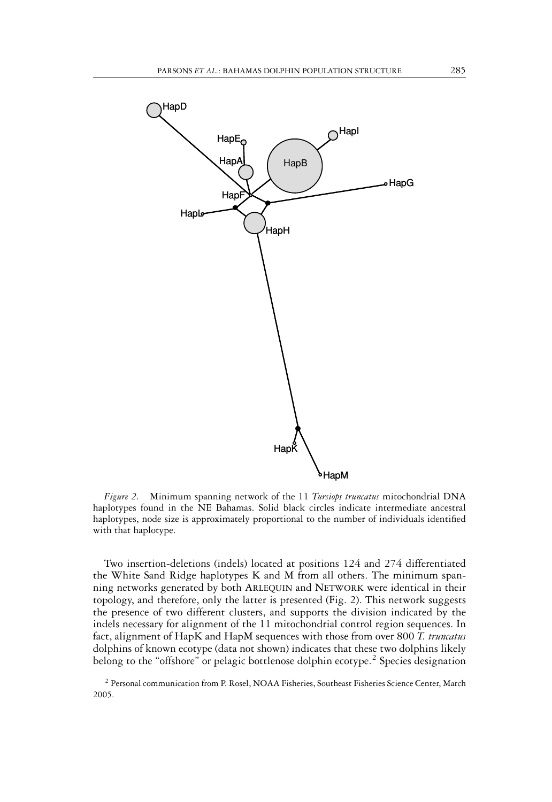

*Figure 2.* Minimum spanning network of the 11 *Tursiops truncatus* mitochondrial DNA haplotypes found in the NE Bahamas. Solid black circles indicate intermediate ancestral haplotypes, node size is approximately proportional to the number of individuals identified with that haplotype.

Two insertion-deletions (indels) located at positions 124 and 274 differentiated the White Sand Ridge haplotypes K and M from all others. The minimum spanning networks generated by both ARLEQUIN and NETWORK were identical in their topology, and therefore, only the latter is presented (Fig. 2). This network suggests the presence of two different clusters, and supports the division indicated by the indels necessary for alignment of the 11 mitochondrial control region sequences. In fact, alignment of HapK and HapM sequences with those from over 800 *T. truncatus* dolphins of known ecotype (data not shown) indicates that these two dolphins likely belong to the "offshore" or pelagic bottlenose dolphin ecotype.<sup>2</sup> Species designation

<sup>2</sup> Personal communication from P. Rosel, NOAA Fisheries, Southeast Fisheries Science Center, March 2005.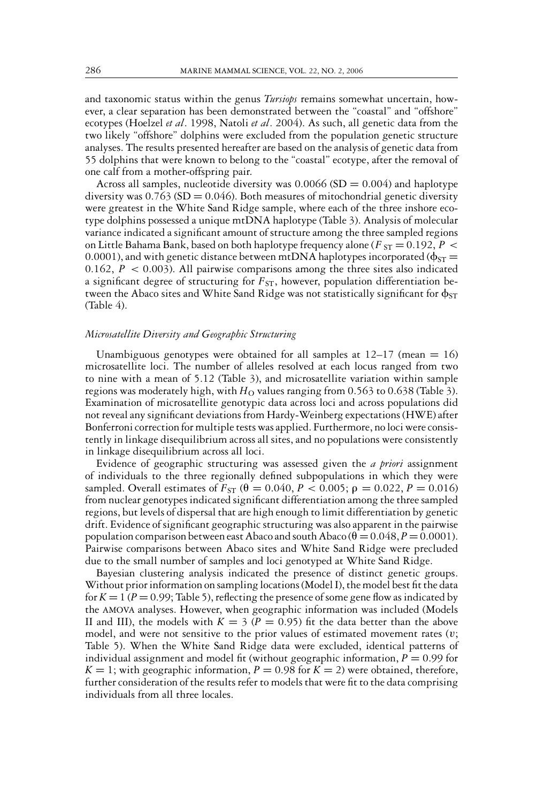and taxonomic status within the genus *Tursiops* remains somewhat uncertain, however, a clear separation has been demonstrated between the "coastal" and "offshore" ecotypes (Hoelzel *et al*. 1998, Natoli *et al*. 2004). As such, all genetic data from the two likely "offshore" dolphins were excluded from the population genetic structure analyses. The results presented hereafter are based on the analysis of genetic data from 55 dolphins that were known to belong to the "coastal" ecotype, after the removal of one calf from a mother-offspring pair.

Across all samples, nucleotide diversity was  $0.0066$  (SD = 0.004) and haplotype diversity was  $0.763$  (SD = 0.046). Both measures of mitochondrial genetic diversity were greatest in the White Sand Ridge sample, where each of the three inshore ecotype dolphins possessed a unique mtDNA haplotype (Table 3). Analysis of molecular variance indicated a significant amount of structure among the three sampled regions on Little Bahama Bank, based on both haplotype frequency alone ( $F_{ST} = 0.192, P <$ 0.0001), and with genetic distance between mtDNA haplotypes incorporated ( $\phi_{ST}$  = 0.162,  $P < 0.003$ ). All pairwise comparisons among the three sites also indicated a significant degree of structuring for  $F_{ST}$ , however, population differentiation between the Abaco sites and White Sand Ridge was not statistically significant for  $\phi_{ST}$ (Table 4).

# *Microsatellite Diversity and Geographic Structuring*

Unambiguous genotypes were obtained for all samples at  $12-17$  (mean  $= 16$ ) microsatellite loci. The number of alleles resolved at each locus ranged from two to nine with a mean of 5.12 (Table 3), and microsatellite variation within sample regions was moderately high, with  $H<sub>O</sub>$  values ranging from 0.563 to 0.638 (Table 3). Examination of microsatellite genotypic data across loci and across populations did not reveal any significant deviations from Hardy-Weinberg expectations (HWE) after Bonferroni correction for multiple tests was applied. Furthermore, no loci were consistently in linkage disequilibrium across all sites, and no populations were consistently in linkage disequilibrium across all loci.

Evidence of geographic structuring was assessed given the *a priori* assignment of individuals to the three regionally defined subpopulations in which they were sampled. Overall estimates of  $F_{ST}$  ( $\theta = 0.040$ ,  $P < 0.005$ ;  $\rho = 0.022$ ,  $P = 0.016$ ) from nuclear genotypes indicated significant differentiation among the three sampled regions, but levels of dispersal that are high enough to limit differentiation by genetic drift. Evidence of significant geographic structuring was also apparent in the pairwise population comparison between east Abaco and south Abaco ( $\theta = 0.048$ ,  $P = 0.0001$ ). Pairwise comparisons between Abaco sites and White Sand Ridge were precluded due to the small number of samples and loci genotyped at White Sand Ridge.

Bayesian clustering analysis indicated the presence of distinct genetic groups. Without prior information on sampling locations (Model I), the model best fit the data for  $K = 1$  ( $P = 0.99$ ; Table 5), reflecting the presence of some gene flow as indicated by the AMOVA analyses. However, when geographic information was included (Models II and III), the models with  $K = 3$  ( $P = 0.95$ ) fit the data better than the above model, and were not sensitive to the prior values of estimated movement rates  $(v;$ Table 5). When the White Sand Ridge data were excluded, identical patterns of individual assignment and model fit (without geographic information,  $P = 0.99$  for  $K = 1$ ; with geographic information,  $P = 0.98$  for  $K = 2$ ) were obtained, therefore, further consideration of the results refer to models that were fit to the data comprising individuals from all three locales.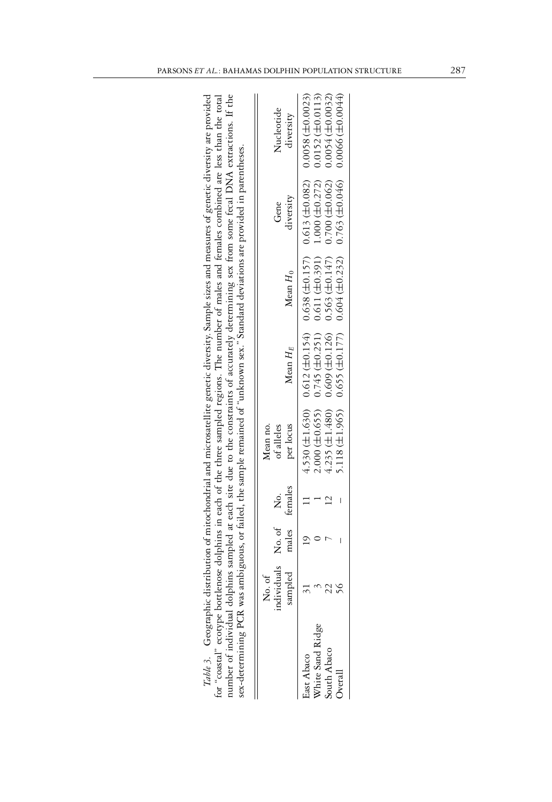| number of individual dolphins sampled at each site due to the constraints of accurately determining sex from some fecal DNA extractions. If the<br>sex-determining PCR was ambiguous, or failed, the sample remained of "unknown<br>for "coastal" ecotype bottl |                                             |               |                                     |                                                                    |                                                                                                                                                                                                |                                                                         | Table 3. Geographic distribution of mitochondrial and microsatellite genetic diversity. Sample sizes and measures of genetic diversity are provided<br>lenose dolphins in each of the three sampled regions. The number of males and females combined are less than the total |
|-----------------------------------------------------------------------------------------------------------------------------------------------------------------------------------------------------------------------------------------------------------------|---------------------------------------------|---------------|-------------------------------------|--------------------------------------------------------------------|------------------------------------------------------------------------------------------------------------------------------------------------------------------------------------------------|-------------------------------------------------------------------------|-------------------------------------------------------------------------------------------------------------------------------------------------------------------------------------------------------------------------------------------------------------------------------|
|                                                                                                                                                                                                                                                                 | individuals No. of No.<br>sampled<br>No. of | males females | per locus<br>Mean no.<br>of alleles | Mean $H_F$                                                         | Mean $H_0$                                                                                                                                                                                     | diversity<br>Gene                                                       | Nucleotide<br>diversity                                                                                                                                                                                                                                                       |
| White Sand Ridge<br>South Abaco<br>East Abaco<br>Overall                                                                                                                                                                                                        | $\frac{1}{3}$<br>ζ<br>22                    |               | $2.000 \, (\pm 0.655)$              | 4.235 ( $\pm$ 1.480) 0.609 ( $\pm$ 0.126)<br>$0.745 \ (\pm 0.251)$ | $4.530 (\pm 1.630)$ $0.612 (\pm 0.154)$ $0.638 (\pm 0.157)$ $0.613 (\pm 0.082)$<br>5.118 ( $\pm$ 1.965) 0.655 ( $\pm$ 0.177) 0.604 ( $\pm$ 0.232)<br>$0.563 (\pm 0.147)$<br>$0.611(\pm 0.391)$ | $0.763 (\pm 0.046)$<br>$0.700 \, (\pm 0.062)$<br>$1.000 \, (\pm 0.272)$ | $0.0058 \, (\pm 0.0023)$<br>$0.0152 \ (\pm 0.0113)$<br>$0.0054 (\pm 0.0032)$<br>$0.0066 \, (\pm 0.0044)$                                                                                                                                                                      |
|                                                                                                                                                                                                                                                                 |                                             |               |                                     |                                                                    |                                                                                                                                                                                                |                                                                         |                                                                                                                                                                                                                                                                               |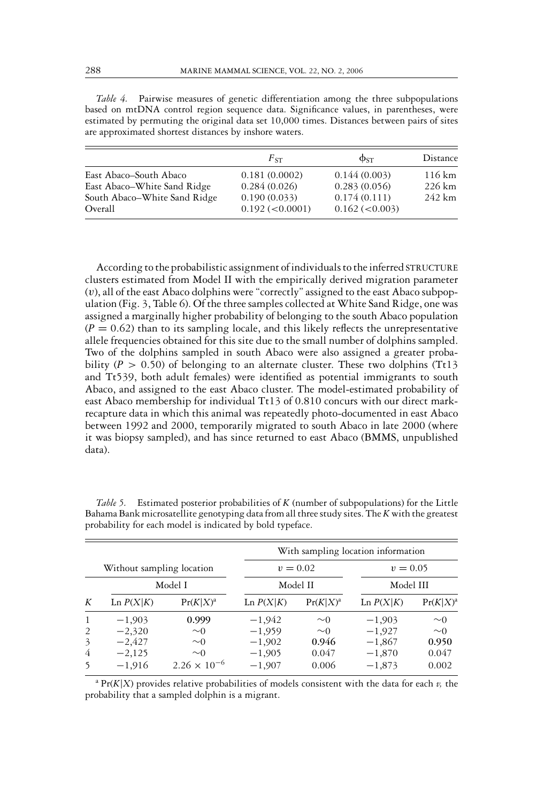*Table 4.* Pairwise measures of genetic differentiation among the three subpopulations based on mtDNA control region sequence data. Significance values, in parentheses, were estimated by permuting the original data set 10,000 times. Distances between pairs of sites are approximated shortest distances by inshore waters.

|                                                             | $F_{ST}$                     | $\Phi$ <sub>ST</sub>         | Distance         |
|-------------------------------------------------------------|------------------------------|------------------------------|------------------|
| East Abaco-South Abaco                                      | 0.181(0.0002)                | 0.144(0.003)                 | 116 km           |
| East Abaco-White Sand Ridge<br>South Abaco-White Sand Ridge | 0.284(0.026)<br>0.190(0.033) | 0.283(0.056)<br>0.174(0.111) | 226 km<br>242 km |
| Overall                                                     | $0.192 \, (< 0.0001)$        | 0.162 (< 0.003)              |                  |

According to the probabilistic assignment of individuals to the inferred STRUCTURE clusters estimated from Model II with the empirically derived migration parameter (v), all of the east Abaco dolphins were "correctly" assigned to the east Abaco subpopulation (Fig. 3, Table 6). Of the three samples collected at White Sand Ridge, one was assigned a marginally higher probability of belonging to the south Abaco population  $(P = 0.62)$  than to its sampling locale, and this likely reflects the unrepresentative allele frequencies obtained for this site due to the small number of dolphins sampled. Two of the dolphins sampled in south Abaco were also assigned a greater probability ( $P > 0.50$ ) of belonging to an alternate cluster. These two dolphins (Tt13) and Tt539, both adult females) were identified as potential immigrants to south Abaco, and assigned to the east Abaco cluster. The model-estimated probability of east Abaco membership for individual Tt13 of 0.810 concurs with our direct markrecapture data in which this animal was repeatedly photo-documented in east Abaco between 1992 and 2000, temporarily migrated to south Abaco in late 2000 (where it was biopsy sampled), and has since returned to east Abaco (BMMS, unpublished data).

|                          |                           |                       |                     |             | With sampling location information |             |
|--------------------------|---------------------------|-----------------------|---------------------|-------------|------------------------------------|-------------|
|                          | Without sampling location |                       |                     | $v = 0.02$  | $v = 0.05$                         |             |
|                          |                           | Model I               |                     | Model II    | Model III                          |             |
| K                        | $\text{Ln } P(X K)$       | $Pr(K X)^a$           | $\text{Ln } P(X K)$ | $Pr(K X)^a$ | $\text{Ln } P(X K)$                | $Pr(K X)^a$ |
| $\overline{1}$           | $-1,903$                  | 0.999                 | $-1,942$            | $\sim$ 0    | $-1,903$                           | $\sim$ ()   |
| 2                        | $-2,320$                  | $\sim$ 0              | $-1,959$            | $\sim$ 0    | $-1,927$                           | $\sim$ ()   |
| $\overline{\mathcal{E}}$ | $-2,427$                  | $\sim$ ()             | $-1,902$            | 0.946       | $-1,867$                           | 0.950       |
| 4                        | $-2,125$                  | $\sim$ ()             | $-1,905$            | 0.047       | $-1,870$                           | 0.047       |
| 5                        | $-1,916$                  | $2.26 \times 10^{-6}$ | $-1,907$            | 0.006       | $-1,873$                           | 0.002       |
|                          |                           |                       |                     |             |                                    |             |

*Table 5.* Estimated posterior probabilities of *K* (number of subpopulations) for the Little Bahama Bank microsatellite genotyping data from all three study sites. The *K* with the greatest probability for each model is indicated by bold typeface.

<sup>a</sup> Pr( $K|X$ ) provides relative probabilities of models consistent with the data for each  $\nu$ , the probability that a sampled dolphin is a migrant.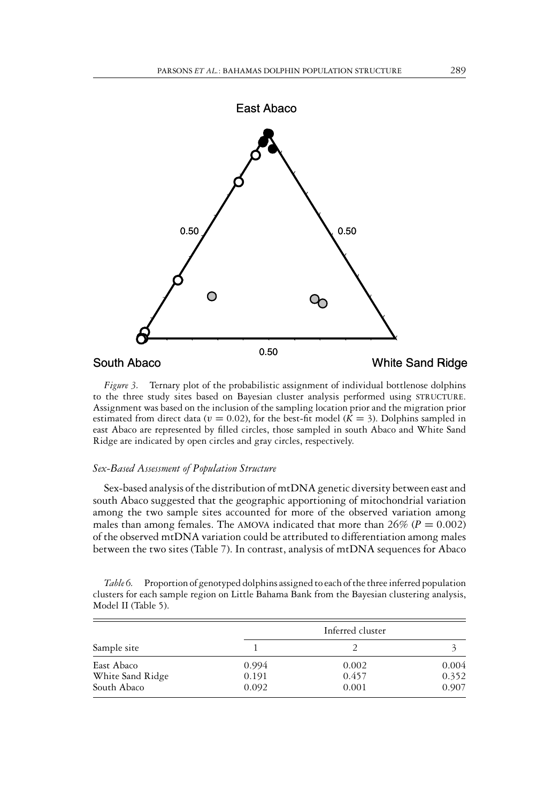

*Figure 3.* Ternary plot of the probabilistic assignment of individual bottlenose dolphins to the three study sites based on Bayesian cluster analysis performed using STRUCTURE. Assignment was based on the inclusion of the sampling location prior and the migration prior estimated from direct data ( $v = 0.02$ ), for the best-fit model ( $\overline{K} = 3$ ). Dolphins sampled in east Abaco are represented by filled circles, those sampled in south Abaco and White Sand Ridge are indicated by open circles and gray circles, respectively.

# *Sex-Based Assessment of Population Structure*

Sex-based analysis of the distribution of mtDNA genetic diversity between east and south Abaco suggested that the geographic apportioning of mitochondrial variation among the two sample sites accounted for more of the observed variation among males than among females. The AMOVA indicated that more than  $26\%$  ( $P = 0.002$ ) of the observed mtDNA variation could be attributed to differentiation among males between the two sites (Table 7). In contrast, analysis of mtDNA sequences for Abaco

*Table 6.* Proportion of genotyped dolphins assigned to each of the three inferred population clusters for each sample region on Little Bahama Bank from the Bayesian clustering analysis, Model II (Table 5).

|                                               |                         | Inferred cluster        |                         |
|-----------------------------------------------|-------------------------|-------------------------|-------------------------|
| Sample site                                   |                         |                         |                         |
| East Abaco<br>White Sand Ridge<br>South Abaco | 0.994<br>0.191<br>0.092 | 0.002<br>0.457<br>0.001 | 0.004<br>0.352<br>0.907 |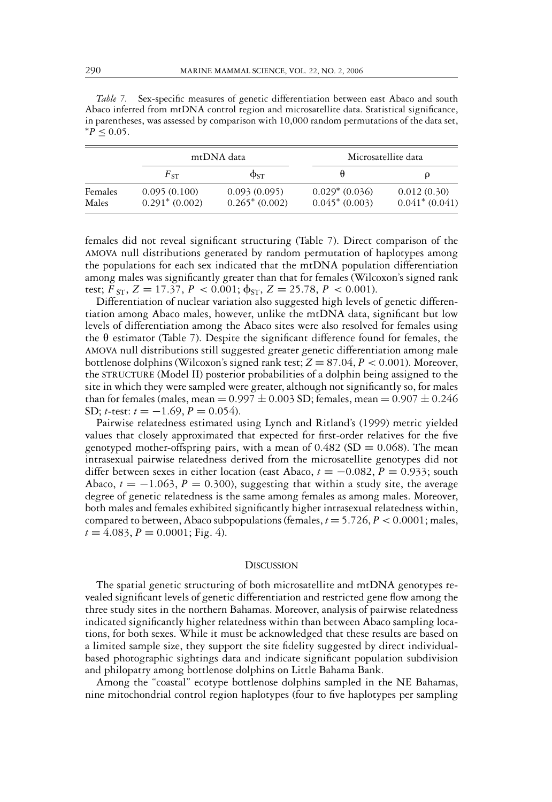*Table 7.* Sex-specific measures of genetic differentiation between east Abaco and south Abaco inferred from mtDNA control region and microsatellite data. Statistical significance, in parentheses, was assessed by comparison with 10,000 random permutations of the data set,  $*P^$  ≤ 0.05.

|                  |                                   | mtDNA data                       | Microsatellite data                  |                                 |
|------------------|-----------------------------------|----------------------------------|--------------------------------------|---------------------------------|
|                  | $F_{ST}$                          | $\Phi$ st                        | н                                    | υ                               |
| Females<br>Males | 0.095(0.100)<br>$0.291^* (0.002)$ | 0.093(0.095)<br>$0.265*$ (0.002) | $0.029^*(0.036)$<br>$0.045*$ (0.003) | 0.012(0.30)<br>$0.041^*(0.041)$ |

females did not reveal significant structuring (Table 7). Direct comparison of the AMOVA null distributions generated by random permutation of haplotypes among the populations for each sex indicated that the mtDNA population differentiation among males was significantly greater than that for females (Wilcoxon's signed rank test;  $\bar{F}_{ST}$ ,  $Z = 17.37$ ,  $P < 0.001$ ;  $\phi_{ST}$ ,  $Z = 25.78$ ,  $P < 0.001$ ).

Differentiation of nuclear variation also suggested high levels of genetic differentiation among Abaco males, however, unlike the mtDNA data, significant but low levels of differentiation among the Abaco sites were also resolved for females using the  $\theta$  estimator (Table 7). Despite the significant difference found for females, the AMOVA null distributions still suggested greater genetic differentiation among male bottlenose dolphins (Wilcoxon's signed rank test;  $Z = 87.04$ ,  $P < 0.001$ ). Moreover, the STRUCTURE (Model II) posterior probabilities of a dolphin being assigned to the site in which they were sampled were greater, although not significantly so, for males than for females (males, mean =  $0.997 \pm 0.003$  SD; females, mean =  $0.907 \pm 0.246$ SD; *t*-test:  $t = -1.69$ ,  $P = 0.054$ .

Pairwise relatedness estimated using Lynch and Ritland's (1999) metric yielded values that closely approximated that expected for first-order relatives for the five genotyped mother-offspring pairs, with a mean of  $0.482$  (SD =  $0.068$ ). The mean intrasexual pairwise relatedness derived from the microsatellite genotypes did not differ between sexes in either location (east Abaco,  $t = -0.082$ ,  $P = 0.933$ ; south Abaco,  $t = -1.063$ ,  $P = 0.300$ ), suggesting that within a study site, the average degree of genetic relatedness is the same among females as among males. Moreover, both males and females exhibited significantly higher intrasexual relatedness within, compared to between, Abaco subpopulations (females,  $t = 5.726$ ,  $P < 0.0001$ ; males,  $t = 4.083$ ,  $P = 0.0001$ ; Fig. 4).

### **DISCUSSION**

The spatial genetic structuring of both microsatellite and mtDNA genotypes revealed significant levels of genetic differentiation and restricted gene flow among the three study sites in the northern Bahamas. Moreover, analysis of pairwise relatedness indicated significantly higher relatedness within than between Abaco sampling locations, for both sexes. While it must be acknowledged that these results are based on a limited sample size, they support the site fidelity suggested by direct individualbased photographic sightings data and indicate significant population subdivision and philopatry among bottlenose dolphins on Little Bahama Bank.

Among the "coastal" ecotype bottlenose dolphins sampled in the NE Bahamas, nine mitochondrial control region haplotypes (four to five haplotypes per sampling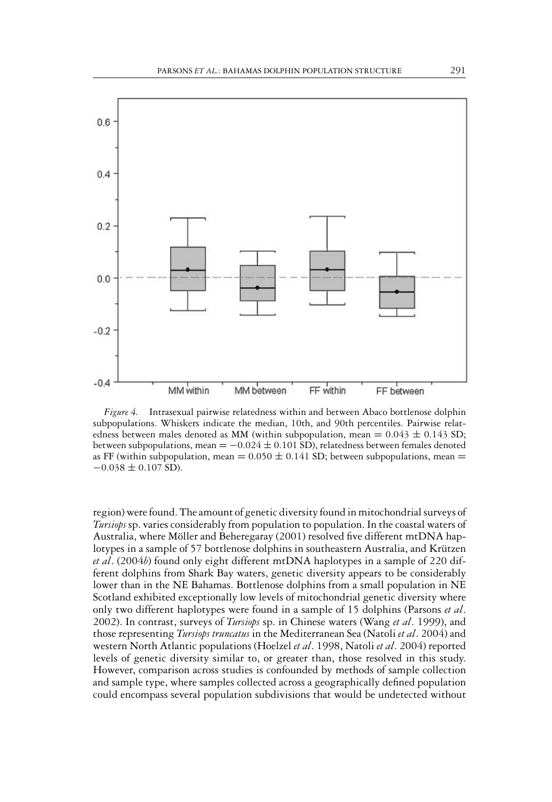

*Figure 4.* Intrasexual pairwise relatedness within and between Abaco bottlenose dolphin subpopulations. Whiskers indicate the median, 10th, and 90th percentiles. Pairwise relatedness between males denoted as MM (within subpopulation, mean =  $0.043 \pm 0.143$  SD; between subpopulations, mean  $= -0.024 \pm 0.101$  SD), relatedness between females denoted as FF (within subpopulation, mean  $= 0.050 \pm 0.141$  SD; between subpopulations, mean  $=$  $-0.038 \pm 0.107$  SD).

region) were found. The amount of genetic diversity found in mitochondrial surveys of *Tursiops* sp. varies considerably from population to population. In the coastal waters of Australia, where Möller and Beheregaray (2001) resolved five different mtDNA haplotypes in a sample of 57 bottlenose dolphins in southeastern Australia, and Krützen *et al*. (2004*b*) found only eight different mtDNA haplotypes in a sample of 220 different dolphins from Shark Bay waters, genetic diversity appears to be considerably lower than in the NE Bahamas. Bottlenose dolphins from a small population in NE Scotland exhibited exceptionally low levels of mitochondrial genetic diversity where only two different haplotypes were found in a sample of 15 dolphins (Parsons *et al*. 2002). In contrast, surveys of *Tursiops* sp. in Chinese waters (Wang *et al*. 1999), and those representing *Tursiops truncatus* in the Mediterranean Sea (Natoli *et al*. 2004) and western North Atlantic populations (Hoelzel *et al*. 1998, Natoli *et al*. 2004) reported levels of genetic diversity similar to, or greater than, those resolved in this study. However, comparison across studies is confounded by methods of sample collection and sample type, where samples collected across a geographically defined population could encompass several population subdivisions that would be undetected without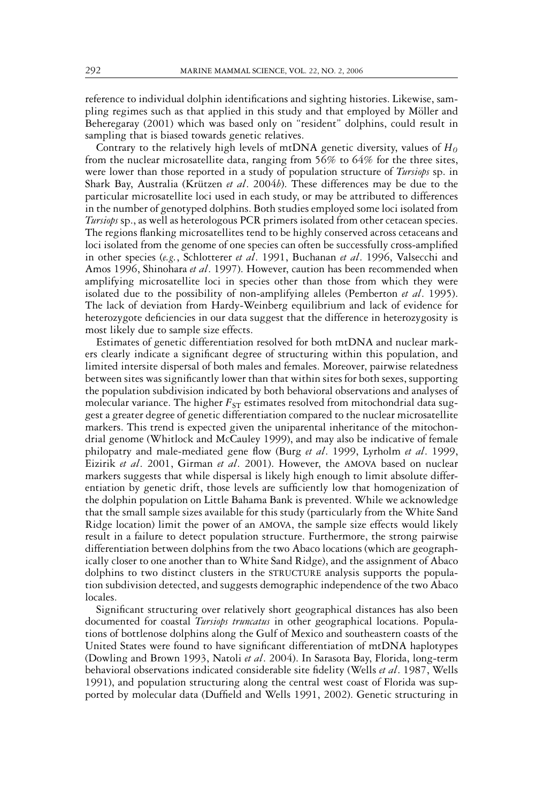reference to individual dolphin identifications and sighting histories. Likewise, sampling regimes such as that applied in this study and that employed by Möller and Beheregaray (2001) which was based only on "resident" dolphins, could result in sampling that is biased towards genetic relatives.

Contrary to the relatively high levels of mtDNA genetic diversity, values of *HO* from the nuclear microsatellite data, ranging from 56% to 64% for the three sites, were lower than those reported in a study of population structure of *Tursiops* sp. in Shark Bay, Australia (Krützen *et al.* 2004*b*). These differences may be due to the particular microsatellite loci used in each study, or may be attributed to differences in the number of genotyped dolphins. Both studies employed some loci isolated from *Tursiops* sp., as well as heterologous PCR primers isolated from other cetacean species. The regions flanking microsatellites tend to be highly conserved across cetaceans and loci isolated from the genome of one species can often be successfully cross-amplified in other species (*e.g.*, Schlotterer *et al*. 1991, Buchanan *et al*. 1996, Valsecchi and Amos 1996, Shinohara *et al*. 1997). However, caution has been recommended when amplifying microsatellite loci in species other than those from which they were isolated due to the possibility of non-amplifying alleles (Pemberton *et al*. 1995). The lack of deviation from Hardy-Weinberg equilibrium and lack of evidence for heterozygote deficiencies in our data suggest that the difference in heterozygosity is most likely due to sample size effects.

Estimates of genetic differentiation resolved for both mtDNA and nuclear markers clearly indicate a significant degree of structuring within this population, and limited intersite dispersal of both males and females. Moreover, pairwise relatedness between sites was significantly lower than that within sites for both sexes, supporting the population subdivision indicated by both behavioral observations and analyses of molecular variance. The higher  $F_{ST}$  estimates resolved from mitochondrial data suggest a greater degree of genetic differentiation compared to the nuclear microsatellite markers. This trend is expected given the uniparental inheritance of the mitochondrial genome (Whitlock and McCauley 1999), and may also be indicative of female philopatry and male-mediated gene flow (Burg *et al*. 1999, Lyrholm *et al*. 1999, Eizirik *et al*. 2001, Girman *et al*. 2001). However, the AMOVA based on nuclear markers suggests that while dispersal is likely high enough to limit absolute differentiation by genetic drift, those levels are sufficiently low that homogenization of the dolphin population on Little Bahama Bank is prevented. While we acknowledge that the small sample sizes available for this study (particularly from the White Sand Ridge location) limit the power of an AMOVA, the sample size effects would likely result in a failure to detect population structure. Furthermore, the strong pairwise differentiation between dolphins from the two Abaco locations (which are geographically closer to one another than to White Sand Ridge), and the assignment of Abaco dolphins to two distinct clusters in the STRUCTURE analysis supports the population subdivision detected, and suggests demographic independence of the two Abaco locales.

Significant structuring over relatively short geographical distances has also been documented for coastal *Tursiops truncatus* in other geographical locations. Populations of bottlenose dolphins along the Gulf of Mexico and southeastern coasts of the United States were found to have significant differentiation of mtDNA haplotypes (Dowling and Brown 1993, Natoli *et al*. 2004). In Sarasota Bay, Florida, long-term behavioral observations indicated considerable site fidelity (Wells *et al*. 1987, Wells 1991), and population structuring along the central west coast of Florida was supported by molecular data (Duffield and Wells 1991, 2002). Genetic structuring in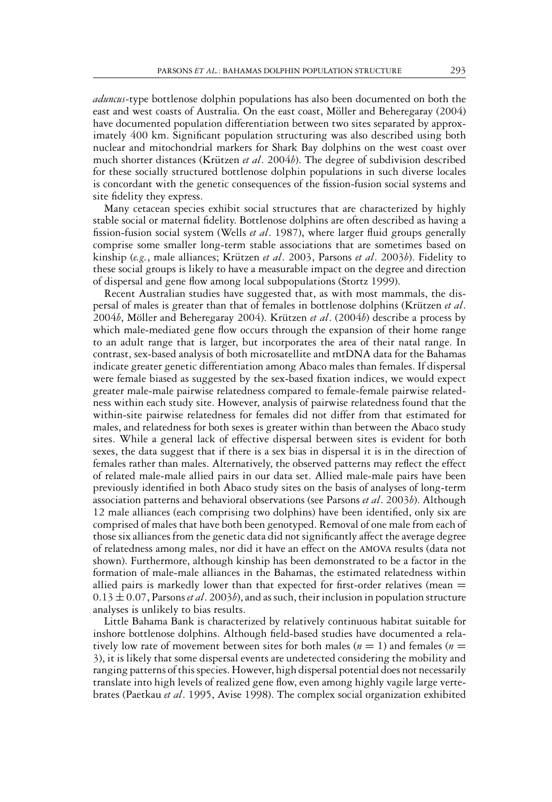*aduncus-*type bottlenose dolphin populations has also been documented on both the east and west coasts of Australia. On the east coast, Möller and Beheregaray (2004) have documented population differentiation between two sites separated by approximately 400 km. Significant population structuring was also described using both nuclear and mitochondrial markers for Shark Bay dolphins on the west coast over much shorter distances (Krützen *et al.* 2004*b*). The degree of subdivision described for these socially structured bottlenose dolphin populations in such diverse locales is concordant with the genetic consequences of the fission-fusion social systems and site fidelity they express.

Many cetacean species exhibit social structures that are characterized by highly stable social or maternal fidelity. Bottlenose dolphins are often described as having a fission-fusion social system (Wells *et al*. 1987), where larger fluid groups generally comprise some smaller long-term stable associations that are sometimes based on kinship (*e.g.*, male alliances; Krützen *et al.* 2003, Parsons *et al.* 2003*b*). Fidelity to these social groups is likely to have a measurable impact on the degree and direction of dispersal and gene flow among local subpopulations (Stortz 1999).

Recent Australian studies have suggested that, as with most mammals, the dispersal of males is greater than that of females in bottlenose dolphins (Krützen *et al.*)  $2004b$ , Möller and Beheregaray  $2004$ ). Krützen *et al.* (2004*b*) describe a process by which male-mediated gene flow occurs through the expansion of their home range to an adult range that is larger, but incorporates the area of their natal range. In contrast, sex-based analysis of both microsatellite and mtDNA data for the Bahamas indicate greater genetic differentiation among Abaco males than females. If dispersal were female biased as suggested by the sex-based fixation indices, we would expect greater male-male pairwise relatedness compared to female-female pairwise relatedness within each study site. However, analysis of pairwise relatedness found that the within-site pairwise relatedness for females did not differ from that estimated for males, and relatedness for both sexes is greater within than between the Abaco study sites. While a general lack of effective dispersal between sites is evident for both sexes, the data suggest that if there is a sex bias in dispersal it is in the direction of females rather than males. Alternatively, the observed patterns may reflect the effect of related male-male allied pairs in our data set. Allied male-male pairs have been previously identified in both Abaco study sites on the basis of analyses of long-term association patterns and behavioral observations (see Parsons *et al*. 2003*b*). Although 12 male alliances (each comprising two dolphins) have been identified, only six are comprised of males that have both been genotyped. Removal of one male from each of those six alliances from the genetic data did not significantly affect the average degree of relatedness among males, nor did it have an effect on the AMOVA results (data not shown). Furthermore, although kinship has been demonstrated to be a factor in the formation of male-male alliances in the Bahamas, the estimated relatedness within allied pairs is markedly lower than that expected for first-order relatives (mean  $=$  $0.13 \pm 0.07$ , Parsons *et al.* 2003*b*), and as such, their inclusion in population structure analyses is unlikely to bias results.

Little Bahama Bank is characterized by relatively continuous habitat suitable for inshore bottlenose dolphins. Although field-based studies have documented a relatively low rate of movement between sites for both males ( $n = 1$ ) and females ( $n = 1$ ) 3), it is likely that some dispersal events are undetected considering the mobility and ranging patterns of this species. However, high dispersal potential does not necessarily translate into high levels of realized gene flow, even among highly vagile large vertebrates (Paetkau *et al*. 1995, Avise 1998). The complex social organization exhibited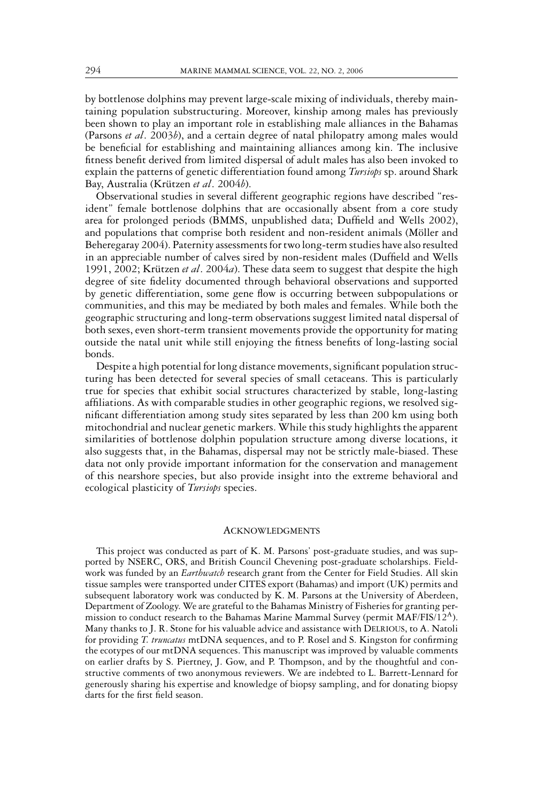by bottlenose dolphins may prevent large-scale mixing of individuals, thereby maintaining population substructuring. Moreover, kinship among males has previously been shown to play an important role in establishing male alliances in the Bahamas (Parsons *et al*. 2003*b*), and a certain degree of natal philopatry among males would be beneficial for establishing and maintaining alliances among kin. The inclusive fitness benefit derived from limited dispersal of adult males has also been invoked to explain the patterns of genetic differentiation found among *Tursiops* sp. around Shark Bay, Australia (Krützen *et al.* 2004*b*).

Observational studies in several different geographic regions have described "resident" female bottlenose dolphins that are occasionally absent from a core study area for prolonged periods (BMMS, unpublished data; Duffield and Wells 2002), and populations that comprise both resident and non-resident animals (Möller and Beheregaray 2004). Paternity assessments for two long-term studies have also resulted in an appreciable number of calves sired by non-resident males (Duffield and Wells 1991, 2002; Krützen *et al.* 2004*a*). These data seem to suggest that despite the high degree of site fidelity documented through behavioral observations and supported by genetic differentiation, some gene flow is occurring between subpopulations or communities, and this may be mediated by both males and females. While both the geographic structuring and long-term observations suggest limited natal dispersal of both sexes, even short-term transient movements provide the opportunity for mating outside the natal unit while still enjoying the fitness benefits of long-lasting social bonds.

Despite a high potential for long distance movements, significant population structuring has been detected for several species of small cetaceans. This is particularly true for species that exhibit social structures characterized by stable, long-lasting affiliations. As with comparable studies in other geographic regions, we resolved significant differentiation among study sites separated by less than 200 km using both mitochondrial and nuclear genetic markers. While this study highlights the apparent similarities of bottlenose dolphin population structure among diverse locations, it also suggests that, in the Bahamas, dispersal may not be strictly male-biased. These data not only provide important information for the conservation and management of this nearshore species, but also provide insight into the extreme behavioral and ecological plasticity of *Tursiops* species.

### ACKNOWLEDGMENTS

This project was conducted as part of K. M. Parsons' post-graduate studies, and was supported by NSERC, ORS, and British Council Chevening post-graduate scholarships. Fieldwork was funded by an *Earthwatch* research grant from the Center for Field Studies. All skin tissue samples were transported under CITES export (Bahamas) and import (UK) permits and subsequent laboratory work was conducted by K. M. Parsons at the University of Aberdeen, Department of Zoology. We are grateful to the Bahamas Ministry of Fisheries for granting permission to conduct research to the Bahamas Marine Mammal Survey (permit  $MAF/FIS/12<sup>A</sup>$ ). Many thanks to J. R. Stone for his valuable advice and assistance with DELRIOUS, to A. Natoli for providing *T. truncatus* mtDNA sequences, and to P. Rosel and S. Kingston for confirming the ecotypes of our mtDNA sequences. This manuscript was improved by valuable comments on earlier drafts by S. Piertney, J. Gow, and P. Thompson, and by the thoughtful and constructive comments of two anonymous reviewers. We are indebted to L. Barrett-Lennard for generously sharing his expertise and knowledge of biopsy sampling, and for donating biopsy darts for the first field season.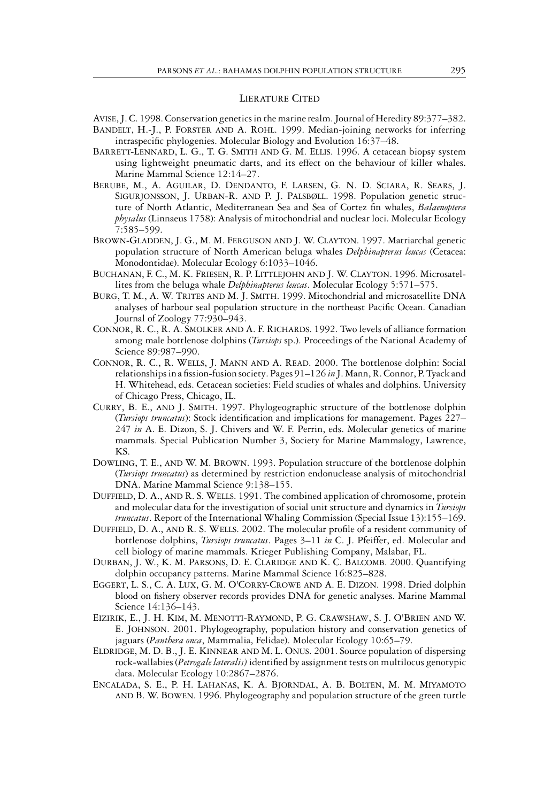#### LIERATURE CITED

- AVISE, J. C. 1998. Conservation genetics in the marine realm. Journal of Heredity 89:377–382. BANDELT, H.-J., P. FORSTER AND A. ROHL. 1999. Median-joining networks for inferring intraspecific phylogenies. Molecular Biology and Evolution 16:37–48.
- BARRETT-LENNARD, L. G., T. G. SMITH AND G. M. ELLIS. 1996. A cetacean biopsy system using lightweight pneumatic darts, and its effect on the behaviour of killer whales. Marine Mammal Science 12:14–27.
- BERUBE, M., A. AGUILAR, D. DENDANTO, F. LARSEN, G. N. D. SCIARA, R. SEARS, J. SIGURJONSSON, J. URBAN-R. AND P. J. PALSBØLL. 1998. Population genetic structure of North Atlantic, Mediterranean Sea and Sea of Cortez fin whales, *Balaenoptera physalus* (Linnaeus 1758): Analysis of mitochondrial and nuclear loci. Molecular Ecology 7:585–599.
- BROWN-GLADDEN, J. G., M. M. FERGUSON AND J. W. CLAYTON. 1997. Matriarchal genetic population structure of North American beluga whales *Delphinapterus leucas* (Cetacea: Monodontidae). Molecular Ecology 6:1033–1046.
- BUCHANAN, F. C., M. K. FRIESEN, R. P. LITTLEJOHN AND J. W. CLAYTON. 1996. Microsatellites from the beluga whale *Delphinapterus leucas*. Molecular Ecology 5:571–575.
- BURG, T. M., A. W. TRITES AND M. J. SMITH. 1999. Mitochondrial and microsatellite DNA analyses of harbour seal population structure in the northeast Pacific Ocean. Canadian Journal of Zoology 77:930–943.
- CONNOR, R. C., R. A. SMOLKER AND A. F. RICHARDS. 1992. Two levels of alliance formation among male bottlenose dolphins (*Tursiops* sp.). Proceedings of the National Academy of Science 89:987–990.
- CONNOR, R. C., R. WELLS, J. MANN AND A. READ. 2000. The bottlenose dolphin: Social relationships in a fission-fusion society. Pages 91–126 *in* J. Mann, R. Connor, P. Tyack and H. Whitehead, eds. Cetacean societies: Field studies of whales and dolphins. University of Chicago Press, Chicago, IL.
- CURRY, B. E., AND J. SMITH. 1997. Phylogeographic structure of the bottlenose dolphin (*Tursiops truncatus*): Stock identification and implications for management. Pages 227– 247 *in* A. E. Dizon, S. J. Chivers and W. F. Perrin, eds. Molecular genetics of marine mammals. Special Publication Number 3, Society for Marine Mammalogy, Lawrence, KS.
- DOWLING, T. E., AND W. M. BROWN. 1993. Population structure of the bottlenose dolphin (*Tursiops truncatus*) as determined by restriction endonuclease analysis of mitochondrial DNA. Marine Mammal Science 9:138–155.
- DUFFIELD, D. A., AND R. S. WELLS. 1991. The combined application of chromosome, protein and molecular data for the investigation of social unit structure and dynamics in *Tursiops truncatus*. Report of the International Whaling Commission (Special Issue 13):155–169.
- DUFFIELD, D. A., AND R. S. WELLS. 2002. The molecular profile of a resident community of bottlenose dolphins, *Tursiops truncatus*. Pages 3–11 *in* C. J. Pfeiffer, ed. Molecular and cell biology of marine mammals. Krieger Publishing Company, Malabar, FL.
- DURBAN, J. W., K. M. PARSONS, D. E. CLARIDGE AND K. C. BALCOMB. 2000. Quantifying dolphin occupancy patterns. Marine Mammal Science 16:825–828.
- EGGERT, L. S., C. A. LUX, G. M. O'CORRY-CROWE AND A. E. DIZON. 1998. Dried dolphin blood on fishery observer records provides DNA for genetic analyses. Marine Mammal Science 14:136–143.
- EIZIRIK, E., J. H. KIM, M. MENOTTI-RAYMOND, P. G. CRAWSHAW, S. J. O'BRIEN AND W. E. JOHNSON. 2001. Phylogeography, population history and conservation genetics of jaguars (*Panthera onca*, Mammalia, Felidae). Molecular Ecology 10:65–79.
- ELDRIDGE, M. D. B., J. E. KINNEAR AND M. L. ONUS. 2001. Source population of dispersing rock-wallabies (*Petrogale lateralis)* identified by assignment tests on multilocus genotypic data. Molecular Ecology 10:2867–2876.
- ENCALADA, S. E., P. H. LAHANAS, K. A. BJORNDAL, A. B. BOLTEN, M. M. MIYAMOTO AND B. W. BOWEN. 1996. Phylogeography and population structure of the green turtle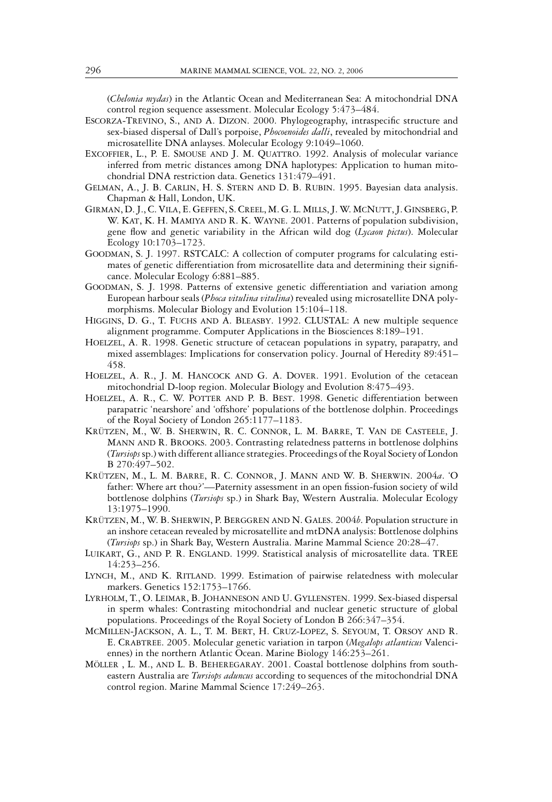(*Chelonia mydas*) in the Atlantic Ocean and Mediterranean Sea: A mitochondrial DNA control region sequence assessment. Molecular Ecology 5:473–484.

- ESCORZA-TREVINO, S., AND A. DIZON. 2000. Phylogeography, intraspecific structure and sex-biased dispersal of Dall's porpoise, *Phocoenoides dalli*, revealed by mitochondrial and microsatellite DNA anlayses. Molecular Ecology 9:1049–1060.
- EXCOFFIER, L., P. E. SMOUSE AND J. M. QUATTRO. 1992. Analysis of molecular variance inferred from metric distances among DNA haplotypes: Application to human mitochondrial DNA restriction data. Genetics 131:479–491.
- GELMAN, A., J. B. CARLIN, H. S. STERN AND D. B. RUBIN. 1995. Bayesian data analysis. Chapman & Hall, London, UK.
- GIRMAN, D. J., C. VILA, E. GEFFEN, S. CREEL, M. G. L. MILLS, J. W. MCNUTT, J. GINSBERG, P. W. KAT, K. H. MAMIYA AND R. K. WAYNE. 2001. Patterns of population subdivision, gene flow and genetic variability in the African wild dog (*Lycaon pictus*). Molecular Ecology 10:1703–1723.
- GOODMAN, S. J. 1997. RSTCALC: A collection of computer programs for calculating estimates of genetic differentiation from microsatellite data and determining their significance. Molecular Ecology 6:881–885.
- GOODMAN, S. J. 1998. Patterns of extensive genetic differentiation and variation among European harbour seals (*Phoca vitulina vitulina*) revealed using microsatellite DNA polymorphisms. Molecular Biology and Evolution 15:104–118.
- HIGGINS, D. G., T. FUCHS AND A. BLEASBY. 1992. CLUSTAL: A new multiple sequence alignment programme. Computer Applications in the Biosciences 8:189–191.
- HOELZEL, A. R. 1998. Genetic structure of cetacean populations in sypatry, parapatry, and mixed assemblages: Implications for conservation policy. Journal of Heredity 89:451– 458.
- HOELZEL, A. R., J. M. HANCOCK AND G. A. DOVER. 1991. Evolution of the cetacean mitochondrial D-loop region. Molecular Biology and Evolution 8:475–493.
- HOELZEL, A. R., C. W. POTTER AND P. B. BEST. 1998. Genetic differentiation between parapatric 'nearshore' and 'offshore' populations of the bottlenose dolphin. Proceedings of the Royal Society of London 265:1177–1183.
- KRÜTZEN, M., W. B. SHERWIN, R. C. CONNOR, L. M. BARRE, T. VAN DE CASTEELE, J. MANN AND R. BROOKS. 2003. Contrasting relatedness patterns in bottlenose dolphins (*Tursiops*sp.) with different alliance strategies. Proceedings of the Royal Society of London B 270:497–502.
- KRÜTZEN, M., L. M. BARRE, R. C. CONNOR, J. MANN AND W. B. SHERWIN. 2004a. 'O father: Where art thou?'—Paternity assessment in an open fission-fusion society of wild bottlenose dolphins (*Tursiops* sp.) in Shark Bay, Western Australia. Molecular Ecology 13:1975–1990.
- KRUTZEN, M., W. B. SHERWIN, P. BERGGREN AND N. GALES. 2004*b*. Population structure in an inshore cetacean revealed by microsatellite and mtDNA analysis: Bottlenose dolphins (*Tursiops* sp.) in Shark Bay, Western Australia. Marine Mammal Science 20:28–47.
- LUIKART, G., AND P. R. ENGLAND. 1999. Statistical analysis of microsatellite data. TREE 14:253–256.
- LYNCH, M., AND K. RITLAND. 1999. Estimation of pairwise relatedness with molecular markers. Genetics 152:1753–1766.
- LYRHOLM, T., O. LEIMAR, B. JOHANNESON AND U. GYLLENSTEN. 1999. Sex-biased dispersal in sperm whales: Contrasting mitochondrial and nuclear genetic structure of global populations. Proceedings of the Royal Society of London B 266:347–354.
- MCMILLEN-JACKSON, A. L., T. M. BERT, H. CRUZ-LOPEZ, S. SEYOUM, T. ORSOY AND R. E. CRABTREE. 2005. Molecular genetic variation in tarpon (*Megalops atlanticus* Valenciennes) in the northern Atlantic Ocean. Marine Biology 146:253–261.
- MÖLLER, L. M., AND L. B. BEHEREGARAY. 2001. Coastal bottlenose dolphins from southeastern Australia are *Tursiops aduncus* according to sequences of the mitochondrial DNA control region. Marine Mammal Science 17:249–263.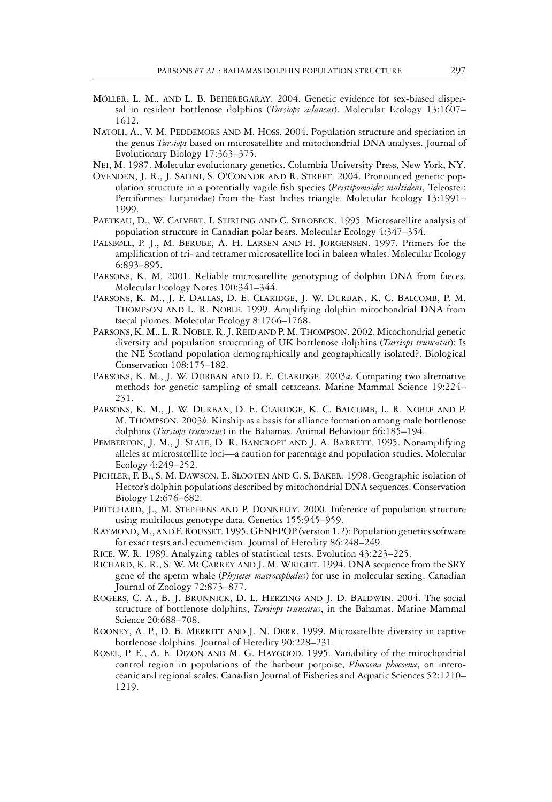- MÖLLER, L. M., AND L. B. BEHEREGARAY. 2004. Genetic evidence for sex-biased dispersal in resident bottlenose dolphins (*Tursiops aduncus*). Molecular Ecology 13:1607– 1612.
- NATOLI, A., V. M. PEDDEMORS AND M. HOSS. 2004. Population structure and speciation in the genus *Tursiops* based on microsatellite and mitochondrial DNA analyses. Journal of Evolutionary Biology 17:363–375.
- NEI, M. 1987. Molecular evolutionary genetics. Columbia University Press, New York, NY.
- OVENDEN, J. R., J. SALINI, S. O'CONNOR AND R. STREET. 2004. Pronounced genetic population structure in a potentially vagile fish species (*Pristipomoides multidens*, Teleostei: Perciformes: Lutjanidae) from the East Indies triangle. Molecular Ecology 13:1991– 1999.
- PAETKAU, D., W. CALVERT, I. STIRLING AND C. STROBECK. 1995. Microsatellite analysis of population structure in Canadian polar bears. Molecular Ecology 4:347–354.
- PALSBØLL, P. J., M. BERUBE, A. H. LARSEN AND H. JORGENSEN. 1997. Primers for the amplification of tri- and tetramer microsatellite loci in baleen whales. Molecular Ecology 6:893–895.
- PARSONS, K. M. 2001. Reliable microsatellite genotyping of dolphin DNA from faeces. Molecular Ecology Notes 100:341–344.
- PARSONS, K. M., J. F. DALLAS, D. E. CLARIDGE, J. W. DURBAN, K. C. BALCOMB, P. M. THOMPSON AND L. R. NOBLE. 1999. Amplifying dolphin mitochondrial DNA from faecal plumes. Molecular Ecology 8:1766–1768.
- PARSONS, K. M., L. R. NOBLE, R. J. REID AND P. M. THOMPSON. 2002. Mitochondrial genetic diversity and population structuring of UK bottlenose dolphins (*Tursiops truncatus*): Is the NE Scotland population demographically and geographically isolated?. Biological Conservation 108:175–182.
- PARSONS, K. M., J. W. DURBAN AND D. E. CLARIDGE. 2003*a*. Comparing two alternative methods for genetic sampling of small cetaceans. Marine Mammal Science 19:224– 231.
- PARSONS, K. M., J. W. DURBAN, D. E. CLARIDGE, K. C. BALCOMB, L. R. NOBLE AND P. M. THOMPSON. 2003*b*. Kinship as a basis for alliance formation among male bottlenose dolphins (*Tursiops truncatus*) in the Bahamas. Animal Behaviour 66:185–194.
- PEMBERTON, J. M., J. SLATE, D. R. BANCROFT AND J. A. BARRETT. 1995. Nonamplifying alleles at microsatellite loci—a caution for parentage and population studies. Molecular Ecology 4:249–252.
- PICHLER, F. B., S. M. DAWSON, E. SLOOTEN AND C. S. BAKER. 1998. Geographic isolation of Hector's dolphin populations described by mitochondrial DNA sequences. Conservation Biology 12:676–682.
- PRITCHARD, J., M. STEPHENS AND P. DONNELLY. 2000. Inference of population structure using multilocus genotype data. Genetics 155:945–959.
- RAYMOND, M., AND F. ROUSSET. 1995. GENEPOP (version 1.2): Population genetics software for exact tests and ecumenicism. Journal of Heredity 86:248–249.
- RICE, W. R. 1989. Analyzing tables of statistical tests. Evolution 43:223–225.
- RICHARD, K. R., S. W. MCCARREY AND J. M. WRIGHT. 1994. DNA sequence from the SRY gene of the sperm whale (*Physeter macrocephalus*) for use in molecular sexing. Canadian Journal of Zoology 72:873–877.
- ROGERS, C. A., B. J. BRUNNICK, D. L. HERZING AND J. D. BALDWIN. 2004. The social structure of bottlenose dolphins, *Tursiops truncatus*, in the Bahamas. Marine Mammal Science 20:688–708.
- ROONEY, A. P., D. B. MERRITT AND J. N. DERR. 1999. Microsatellite diversity in captive bottlenose dolphins. Journal of Heredity 90:228–231.
- ROSEL, P. E., A. E. DIZON AND M. G. HAYGOOD. 1995. Variability of the mitochondrial control region in populations of the harbour porpoise, *Phocoena phocoena*, on interoceanic and regional scales. Canadian Journal of Fisheries and Aquatic Sciences 52:1210– 1219.